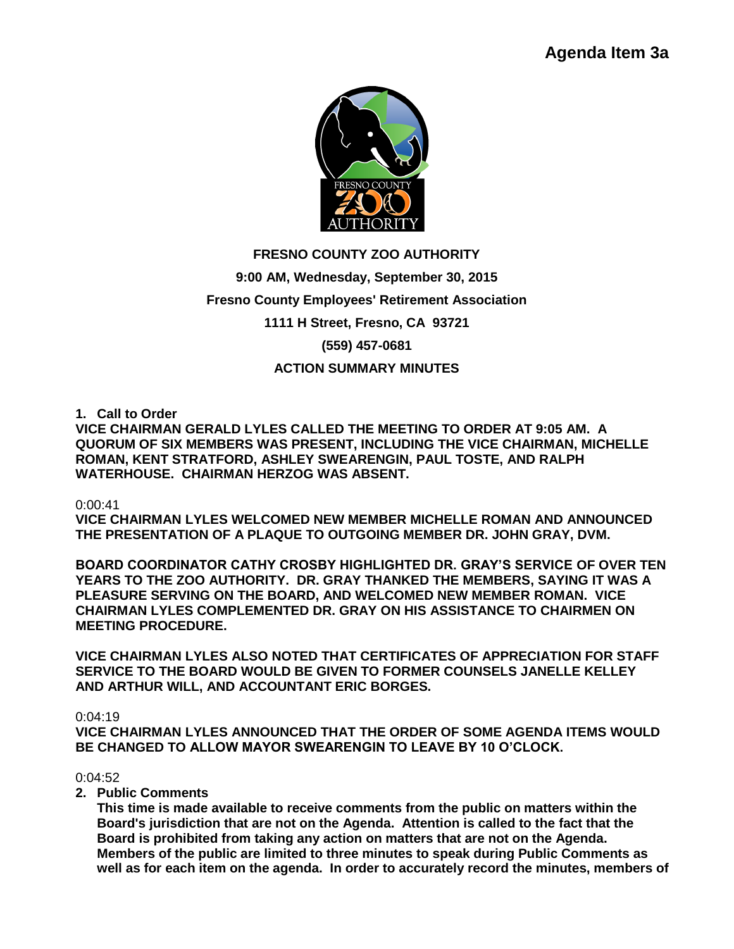

# **FRESNO COUNTY ZOO AUTHORITY 9:00 AM, Wednesday, September 30, 2015 Fresno County Employees' Retirement Association 1111 H Street, Fresno, CA 93721 (559) 457-0681 ACTION SUMMARY MINUTES**

**1. Call to Order** 

**VICE CHAIRMAN GERALD LYLES CALLED THE MEETING TO ORDER AT 9:05 AM. A QUORUM OF SIX MEMBERS WAS PRESENT, INCLUDING THE VICE CHAIRMAN, MICHELLE ROMAN, KENT STRATFORD, ASHLEY SWEARENGIN, PAUL TOSTE, AND RALPH WATERHOUSE. CHAIRMAN HERZOG WAS ABSENT.**

### 0:00:41

**VICE CHAIRMAN LYLES WELCOMED NEW MEMBER MICHELLE ROMAN AND ANNOUNCED THE PRESENTATION OF A PLAQUE TO OUTGOING MEMBER DR. JOHN GRAY, DVM.** 

**BOARD COORDINATOR CATHY CROSBY HIGHLIGHTED DR. GRAY'S SERVICE OF OVER TEN YEARS TO THE ZOO AUTHORITY. DR. GRAY THANKED THE MEMBERS, SAYING IT WAS A PLEASURE SERVING ON THE BOARD, AND WELCOMED NEW MEMBER ROMAN. VICE CHAIRMAN LYLES COMPLEMENTED DR. GRAY ON HIS ASSISTANCE TO CHAIRMEN ON MEETING PROCEDURE.** 

**VICE CHAIRMAN LYLES ALSO NOTED THAT CERTIFICATES OF APPRECIATION FOR STAFF SERVICE TO THE BOARD WOULD BE GIVEN TO FORMER COUNSELS JANELLE KELLEY AND ARTHUR WILL, AND ACCOUNTANT ERIC BORGES.**

0:04:19

**VICE CHAIRMAN LYLES ANNOUNCED THAT THE ORDER OF SOME AGENDA ITEMS WOULD BE CHANGED TO ALLOW MAYOR SWEARENGIN TO LEAVE BY 10 O'CLOCK.**

### $0.04:52$

**2. Public Comments**

**This time is made available to receive comments from the public on matters within the Board's jurisdiction that are not on the Agenda. Attention is called to the fact that the Board is prohibited from taking any action on matters that are not on the Agenda. Members of the public are limited to three minutes to speak during Public Comments as well as for each item on the agenda. In order to accurately record the minutes, members of**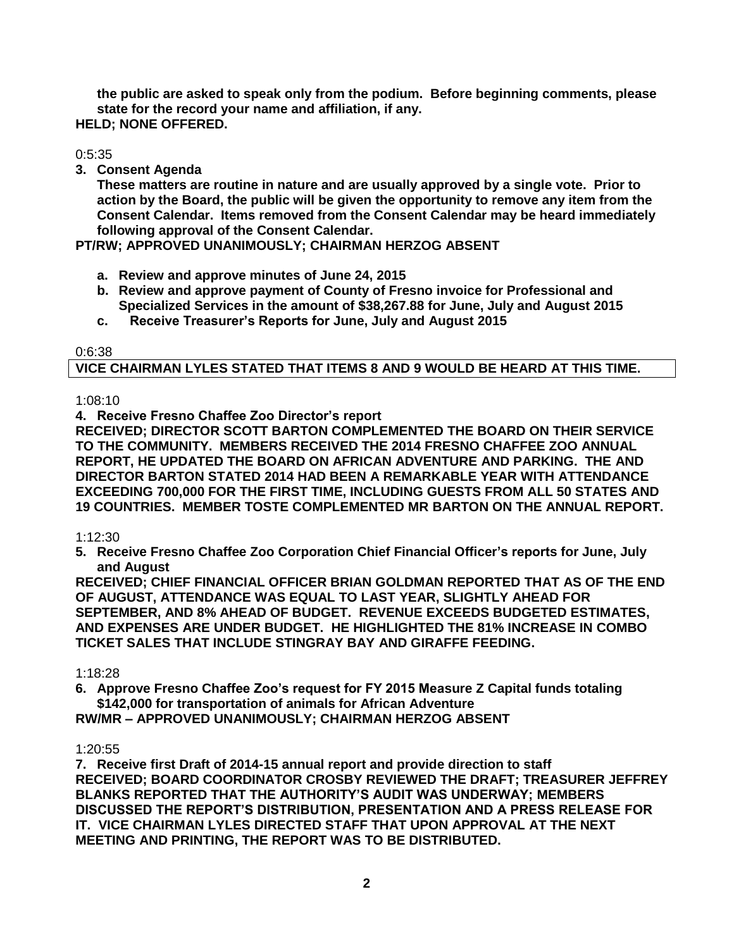**the public are asked to speak only from the podium. Before beginning comments, please state for the record your name and affiliation, if any. HELD; NONE OFFERED.**

0:5:35

**3. Consent Agenda** 

**These matters are routine in nature and are usually approved by a single vote. Prior to action by the Board, the public will be given the opportunity to remove any item from the Consent Calendar. Items removed from the Consent Calendar may be heard immediately following approval of the Consent Calendar.**

**PT/RW; APPROVED UNANIMOUSLY; CHAIRMAN HERZOG ABSENT**

- **a. Review and approve minutes of June 24, 2015**
- **b. Review and approve payment of County of Fresno invoice for Professional and Specialized Services in the amount of \$38,267.88 for June, July and August 2015**
- **c. Receive Treasurer's Reports for June, July and August 2015**

0:6:38

# **VICE CHAIRMAN LYLES STATED THAT ITEMS 8 AND 9 WOULD BE HEARD AT THIS TIME.**

1:08:10

**4. Receive Fresno Chaffee Zoo Director's report** 

**RECEIVED; DIRECTOR SCOTT BARTON COMPLEMENTED THE BOARD ON THEIR SERVICE TO THE COMMUNITY. MEMBERS RECEIVED THE 2014 FRESNO CHAFFEE ZOO ANNUAL REPORT, HE UPDATED THE BOARD ON AFRICAN ADVENTURE AND PARKING. THE AND DIRECTOR BARTON STATED 2014 HAD BEEN A REMARKABLE YEAR WITH ATTENDANCE EXCEEDING 700,000 FOR THE FIRST TIME, INCLUDING GUESTS FROM ALL 50 STATES AND 19 COUNTRIES. MEMBER TOSTE COMPLEMENTED MR BARTON ON THE ANNUAL REPORT.**

1:12:30

**5. Receive Fresno Chaffee Zoo Corporation Chief Financial Officer's reports for June, July and August**

**RECEIVED; CHIEF FINANCIAL OFFICER BRIAN GOLDMAN REPORTED THAT AS OF THE END OF AUGUST, ATTENDANCE WAS EQUAL TO LAST YEAR, SLIGHTLY AHEAD FOR SEPTEMBER, AND 8% AHEAD OF BUDGET. REVENUE EXCEEDS BUDGETED ESTIMATES, AND EXPENSES ARE UNDER BUDGET. HE HIGHLIGHTED THE 81% INCREASE IN COMBO TICKET SALES THAT INCLUDE STINGRAY BAY AND GIRAFFE FEEDING.**

# 1:18:28

**6. Approve Fresno Chaffee Zoo's request for FY 2015 Measure Z Capital funds totaling \$142,000 for transportation of animals for African Adventure**

**RW/MR – APPROVED UNANIMOUSLY; CHAIRMAN HERZOG ABSENT**

# 1:20:55

**7. Receive first Draft of 2014-15 annual report and provide direction to staff RECEIVED; BOARD COORDINATOR CROSBY REVIEWED THE DRAFT; TREASURER JEFFREY BLANKS REPORTED THAT THE AUTHORITY'S AUDIT WAS UNDERWAY; MEMBERS DISCUSSED THE REPORT'S DISTRIBUTION, PRESENTATION AND A PRESS RELEASE FOR IT. VICE CHAIRMAN LYLES DIRECTED STAFF THAT UPON APPROVAL AT THE NEXT MEETING AND PRINTING, THE REPORT WAS TO BE DISTRIBUTED.**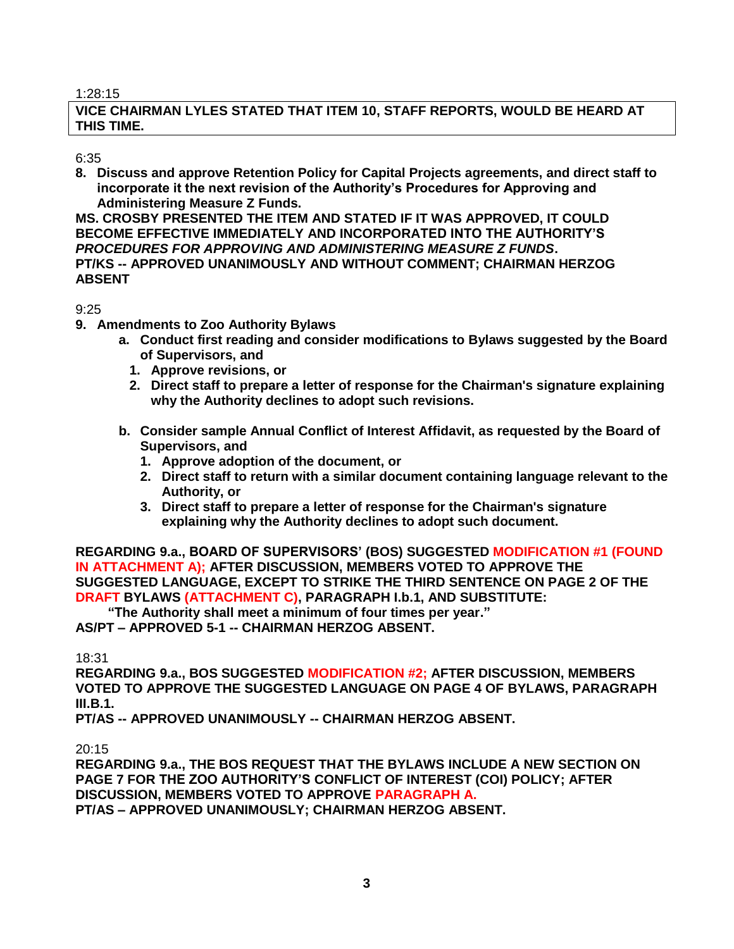#### 1:28:15

# **VICE CHAIRMAN LYLES STATED THAT ITEM 10, STAFF REPORTS, WOULD BE HEARD AT THIS TIME.**

### 6:35

**8. Discuss and approve Retention Policy for Capital Projects agreements, and direct staff to incorporate it the next revision of the Authority's Procedures for Approving and Administering Measure Z Funds.**

**MS. CROSBY PRESENTED THE ITEM AND STATED IF IT WAS APPROVED, IT COULD BECOME EFFECTIVE IMMEDIATELY AND INCORPORATED INTO THE AUTHORITY'S**  *PROCEDURES FOR APPROVING AND ADMINISTERING MEASURE Z FUNDS***. PT/KS -- APPROVED UNANIMOUSLY AND WITHOUT COMMENT; CHAIRMAN HERZOG ABSENT**

# 9:25

- **9. Amendments to Zoo Authority Bylaws**
	- **a. Conduct first reading and consider modifications to Bylaws suggested by the Board of Supervisors, and**
		- **1. Approve revisions, or**
		- **2. Direct staff to prepare a letter of response for the Chairman's signature explaining why the Authority declines to adopt such revisions.**
	- **b. Consider sample Annual Conflict of Interest Affidavit, as requested by the Board of Supervisors, and** 
		- **1. Approve adoption of the document, or**
		- **2. Direct staff to return with a similar document containing language relevant to the Authority, or**
		- **3. Direct staff to prepare a letter of response for the Chairman's signature explaining why the Authority declines to adopt such document.**

**REGARDING 9.a., BOARD OF SUPERVISORS' (BOS) SUGGESTED MODIFICATION #1 (FOUND IN ATTACHMENT A); AFTER DISCUSSION, MEMBERS VOTED TO APPROVE THE SUGGESTED LANGUAGE, EXCEPT TO STRIKE THE THIRD SENTENCE ON PAGE 2 OF THE DRAFT BYLAWS (ATTACHMENT C), PARAGRAPH I.b.1, AND SUBSTITUTE:**

**"The Authority shall meet a minimum of four times per year."** 

**AS/PT – APPROVED 5-1 -- CHAIRMAN HERZOG ABSENT.**

18:31

**REGARDING 9.a., BOS SUGGESTED MODIFICATION #2; AFTER DISCUSSION, MEMBERS VOTED TO APPROVE THE SUGGESTED LANGUAGE ON PAGE 4 OF BYLAWS, PARAGRAPH III.B.1.**

**PT/AS -- APPROVED UNANIMOUSLY -- CHAIRMAN HERZOG ABSENT.**

20:15

**REGARDING 9.a., THE BOS REQUEST THAT THE BYLAWS INCLUDE A NEW SECTION ON PAGE 7 FOR THE ZOO AUTHORITY'S CONFLICT OF INTEREST (COI) POLICY; AFTER DISCUSSION, MEMBERS VOTED TO APPROVE PARAGRAPH A. PT/AS – APPROVED UNANIMOUSLY; CHAIRMAN HERZOG ABSENT.**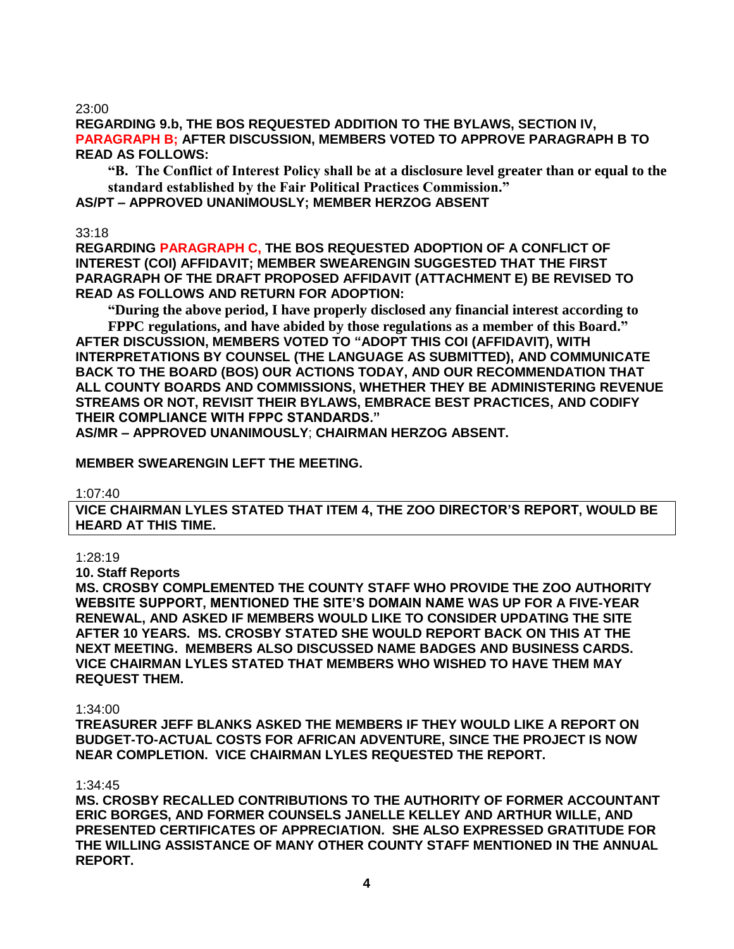23:00

**REGARDING 9.b, THE BOS REQUESTED ADDITION TO THE BYLAWS, SECTION IV, PARAGRAPH B; AFTER DISCUSSION, MEMBERS VOTED TO APPROVE PARAGRAPH B TO READ AS FOLLOWS:**

**"B. The Conflict of Interest Policy shall be at a disclosure level greater than or equal to the standard established by the Fair Political Practices Commission."**

**AS/PT – APPROVED UNANIMOUSLY; MEMBER HERZOG ABSENT**

33:18

**REGARDING PARAGRAPH C, THE BOS REQUESTED ADOPTION OF A CONFLICT OF INTEREST (COI) AFFIDAVIT; MEMBER SWEARENGIN SUGGESTED THAT THE FIRST PARAGRAPH OF THE DRAFT PROPOSED AFFIDAVIT (ATTACHMENT E) BE REVISED TO READ AS FOLLOWS AND RETURN FOR ADOPTION:**

**"During the above period, I have properly disclosed any financial interest according to** 

**FPPC regulations, and have abided by those regulations as a member of this Board." AFTER DISCUSSION, MEMBERS VOTED TO "ADOPT THIS COI (AFFIDAVIT), WITH INTERPRETATIONS BY COUNSEL (THE LANGUAGE AS SUBMITTED), AND COMMUNICATE BACK TO THE BOARD (BOS) OUR ACTIONS TODAY, AND OUR RECOMMENDATION THAT ALL COUNTY BOARDS AND COMMISSIONS, WHETHER THEY BE ADMINISTERING REVENUE STREAMS OR NOT, REVISIT THEIR BYLAWS, EMBRACE BEST PRACTICES, AND CODIFY THEIR COMPLIANCE WITH FPPC STANDARDS."** 

**AS/MR – APPROVED UNANIMOUSLY**; **CHAIRMAN HERZOG ABSENT.** 

**MEMBER SWEARENGIN LEFT THE MEETING.**

1:07:40

**VICE CHAIRMAN LYLES STATED THAT ITEM 4, THE ZOO DIRECTOR'S REPORT, WOULD BE HEARD AT THIS TIME.**

1:28:19

**10. Staff Reports**

**MS. CROSBY COMPLEMENTED THE COUNTY STAFF WHO PROVIDE THE ZOO AUTHORITY WEBSITE SUPPORT, MENTIONED THE SITE'S DOMAIN NAME WAS UP FOR A FIVE-YEAR RENEWAL, AND ASKED IF MEMBERS WOULD LIKE TO CONSIDER UPDATING THE SITE AFTER 10 YEARS. MS. CROSBY STATED SHE WOULD REPORT BACK ON THIS AT THE NEXT MEETING. MEMBERS ALSO DISCUSSED NAME BADGES AND BUSINESS CARDS. VICE CHAIRMAN LYLES STATED THAT MEMBERS WHO WISHED TO HAVE THEM MAY REQUEST THEM.**

### 1:34:00

**TREASURER JEFF BLANKS ASKED THE MEMBERS IF THEY WOULD LIKE A REPORT ON BUDGET-TO-ACTUAL COSTS FOR AFRICAN ADVENTURE, SINCE THE PROJECT IS NOW NEAR COMPLETION. VICE CHAIRMAN LYLES REQUESTED THE REPORT.**

1:34:45

**MS. CROSBY RECALLED CONTRIBUTIONS TO THE AUTHORITY OF FORMER ACCOUNTANT ERIC BORGES, AND FORMER COUNSELS JANELLE KELLEY AND ARTHUR WILLE, AND PRESENTED CERTIFICATES OF APPRECIATION. SHE ALSO EXPRESSED GRATITUDE FOR THE WILLING ASSISTANCE OF MANY OTHER COUNTY STAFF MENTIONED IN THE ANNUAL REPORT.**